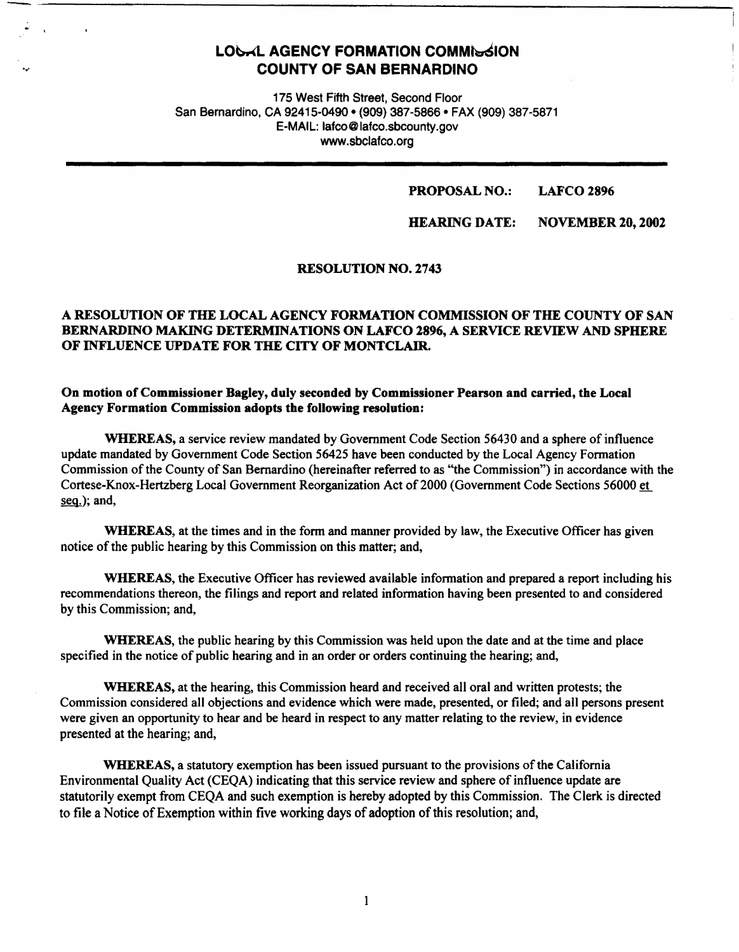# **LOGAL AGENCY FORMATION COMMISSION COUNTY OF SAN BERNARDINO**

-~----------------------------------------------

175 West Fifth Street, Second Floor San Bernardino, CA 92415-0490 • (909) 387-5866 • FAX (909) 387-5871 E-MAIL: lafco@lafco.sbcounty.gov www.sbclafco.org

#### **PROPOSAL NO.: LAFCO2896**

#### **HEARING DATE: NOVEMBER 20, 2002**

#### **RESOLUTION NO. 2743**

# **A RESOLUTION OF mE LOCAL AGENCY FORMATION COMMISSION OF THE COUNTY OF SAN BERNARDINO MAKING DETERMINATIONS ON LAFCO 2896, A SERVICE REVIEW AND SPHERE OF INFLUENCE UPDATE FOR THE CITY OF MONTCLAIR.**

### **On motion of Commissioner Bagley, duly seconded by Commissioner Pearson and carried, the Local Agency Formation Commission adopts the following resolution:**

**WHEREAS,** a service review mandated by Government Code Section 56430 and a sphere of influence update mandated by Government Code Section 56425 have been conducted by the Local Agency Formation Commission of the County of San Bernardino (hereinafter referred to as "the Commission") in accordance with the Cortese-Knox-Hertzberg Local Government Reorganization Act of2000 (Government Code Sections 56000 et seg.); and,

**WHEREAS,** at the times and in the fonn and manner provided by law, the Executive Officer has given notice of the public hearing by this Commission on this matter; and,

**WHEREAS,** the Executive Officer has reviewed available information and prepared a report including his recommendations thereon, the filings and report and related information having been presented to and considered by this Commission; and,

**WHEREAS,** the public hearing by this Commission was held upon the date and at the time and place specified in the notice of public hearing and in an order or orders continuing the hearing; and,

**WHEREAS,** at the hearing, this Commission heard and received all oral and written protests; the Commission considered all objections and evidence which were made, presented, or filed; and all persons present were given an opportunity to hear and be heard in respect to any matter relating to the review, in evidence presented at the hearing; and,

**WHEREAS,** a statutory exemption has been issued pursuant to the provisions of the California Environmental Quality Act (CEQA) indicating that this service review and sphere of influence update are statutorily exempt from CEQA and such exemption is hereby adopted by this Commission. The Clerk is directed to file a Notice of Exemption within five working days of adoption of this resolution; and,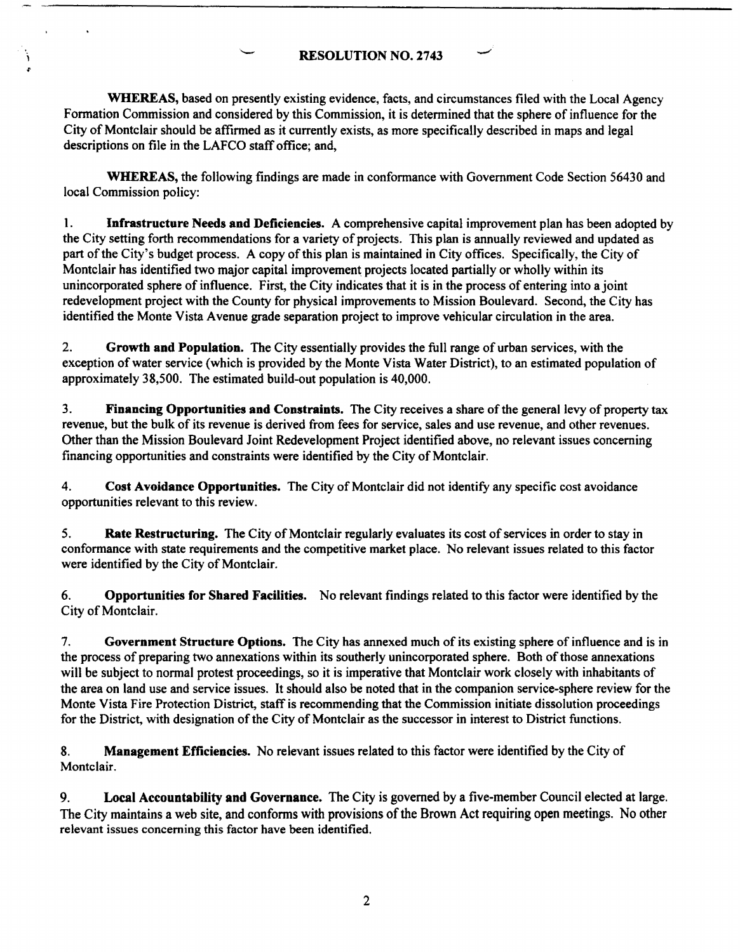# **RESOLUTION NO. 2743**

**WHEREAS,** based on presently existing evidence, facts, and circumstances filed with the Local Agency Formation Commission and considered by this Commission, it is determined that the sphere of influence for the City of Montclair should be affirmed as it currently exists, as more specifically described in maps and legal descriptions on file in the LAFCO staff office; and,

**WHEREAS,** the following findings are made in conformance with Government Code Section 56430 and local Commission policy:

I. **Infrastructure Needs and Deficiencies.** A comprehensive capital improvement plan has been adopted by the City setting forth recommendations for a variety of projects. This plan is annually reviewed and updated as part of the City's budget process. A copy of this plan is maintained in City offices. Specifically, the City of Montclair has identified two major capital improvement projects located partially or wholly within its unincorporated sphere of influence. First, the City indicates that it is in the process of entering into a joint redevelopment project with the County for physical improvements to Mission Boulevard. Second, the City has identified the Monte Vista Avenue grade separation project to improve vehicular circulation in the area.

2. **Growth and Population.** The City essentially provides the full range of urban services, with the exception of water service (which is provided by the Monte Vista Water District), to an estimated population of approximately 38,500. The estimated build-out population is 40,000.

3. **Financing Opportunities and Constraints.** The City receives a share of the general levy of property tax revenue, but the bulk of its revenue is derived from fees for service, sales and use revenue, and other revenues. Other than the Mission Boulevard Joint Redevelopment Project identified above, no relevant issues concerning financing opportunities and constraints were identified by the City of Montclair.

4. **Cost Avoidance Opportunities.** The City of Montclair did not identify any specific cost avoidance opportunities relevant to this review.

5. **Rate Restructuring.** The City of Montclair regularly evaluates its cost of services in order to stay in conformance with state requirements and the competitive market place. No relevant issues related to this factor were identified by the City of Montclair.

6. **Opportunities for Shared Facilities.** No relevant findings related to this factor were identified by the City of Montclair.

7. **Government Structure Options.** The City has annexed much of its existing sphere of influence and is in the process of preparing two annexations within its southerly unincorporated sphere. Both of those annexations will be subject to normal protest proceedings, so it is imperative that Montclair work closely with inhabitants of the area on land use and service issues. It should also be noted that in the companion service-sphere review for the Monte Vista Fire Protection District, staff is recommending that the Commission initiate dissolution proceedings for the District, with designation of the City of Montclair as the successor in interest to District functions.

**8. Management Efficiencies.** No relevant issues related to this factor were identified by the City of Montclair.

9. **Local Accountability and Governance.** The City is governed by a five-member Council elected at large. The City maintains a web site, and conforms with provisions of the Brown Act requiring open meetings. No other relevant issues concerning this factor have been identified.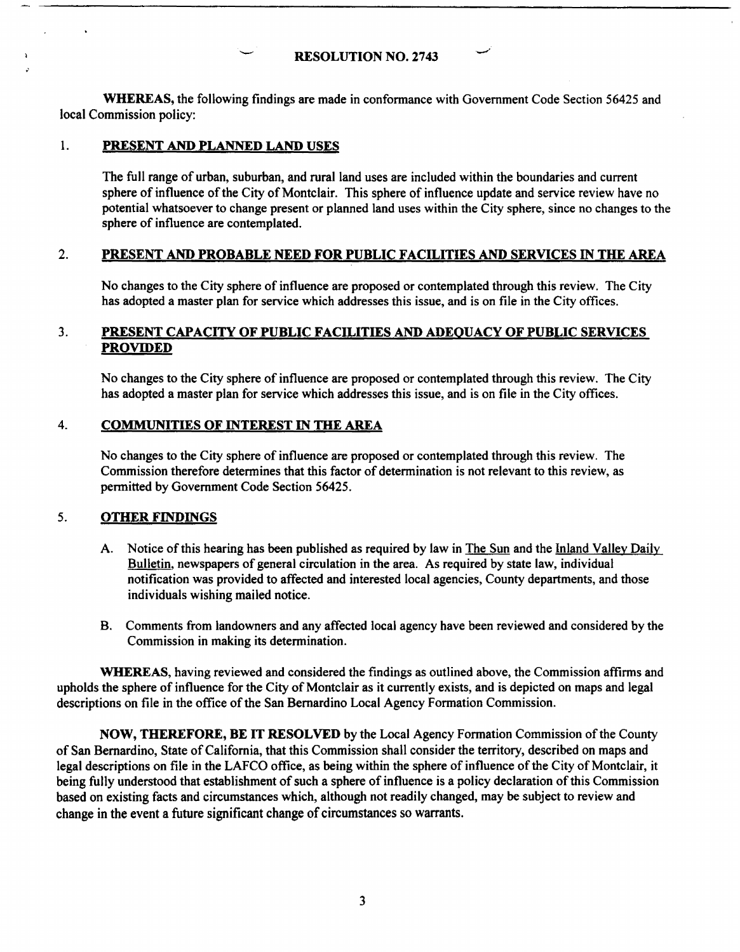### RESOLUTION NO. 2743

**WHEREAS,** the following findings are made in confonnance with Government Code Section 56425 and local Commission policy:

### 1. **PRESENT AND PLANNED LAND USES**

The full range of urban. suburban, and rural land uses are included within the boundaries and current sphere of influence of the City of Montclair. This sphere of influence update and service review have no potential whatsoever to change present or planned land uses within the City sphere, since no changes to the sphere of influence are contemplated.

# 2. **PRESENT AND PROBABLE NEED FOR PUBLIC FACILITIES AND SERVICES** IN **THE AREA**

No changes to the City sphere of influence are proposed or contemplated through this review. The City has adopted a master plan for service which addresses this issue, and is on file in the City offices.

# 3. **PRESENT CAPACITY OF PUBLIC FACILITIES AND ADEQUACY OF PUBLIC SERVICES PROVIDED**

No changes to the City sphere of influence are proposed or contemplated through this review. The City has adopted a master plan for service which addresses this issue, and is on file in the City offices.

# 4. **COMMUNITIES OF INTEREST** IN **mE AREA**

No changes to the City sphere of influence are proposed or contemplated through this review. The Commission therefore detennines that this factor of determination is not relevant to this review. as permitted by Government Code Section 56425.

# 5. **OTHER FINDINGS**

- A. Notice of this hearing has been published as required by law in The Sun and the Inland Valley Daily Bulletin, newspapers of general circulation in the area. As required by state law, individual notification was provided to affected and interested local agencies, County departments, and those individuals wishing mailed notice.
- 8. Comments from landowners and any affected local agency have been reviewed and considered by the Commission in making its determination.

**WHEREAS,** having reviewed and considered the findings as outlined above, the Commission affirms and upholds the sphere of influence for the City of Montclair as it currently exists, and is depicted on maps and legal descriptions on file in the office of the San Bernardino Local Agency Formation Commission.

**NOW, THEREFORE, BE** IT **RESOLVED** by the Local Agency Formation Commission of the County of San Bernardino, State of California, that this Commission shall consider the territory, described on maps and legal descriptions on file in the LAFCO office, as being within the sphere of influence of the City of Montclair, it being fully understood that establishment of such a sphere of influence is a policy declaration of this Commission based on existing facts and circumstances which, although not readily changed, may be subject to review and change in the event a future significant change of circumstances so warrants.